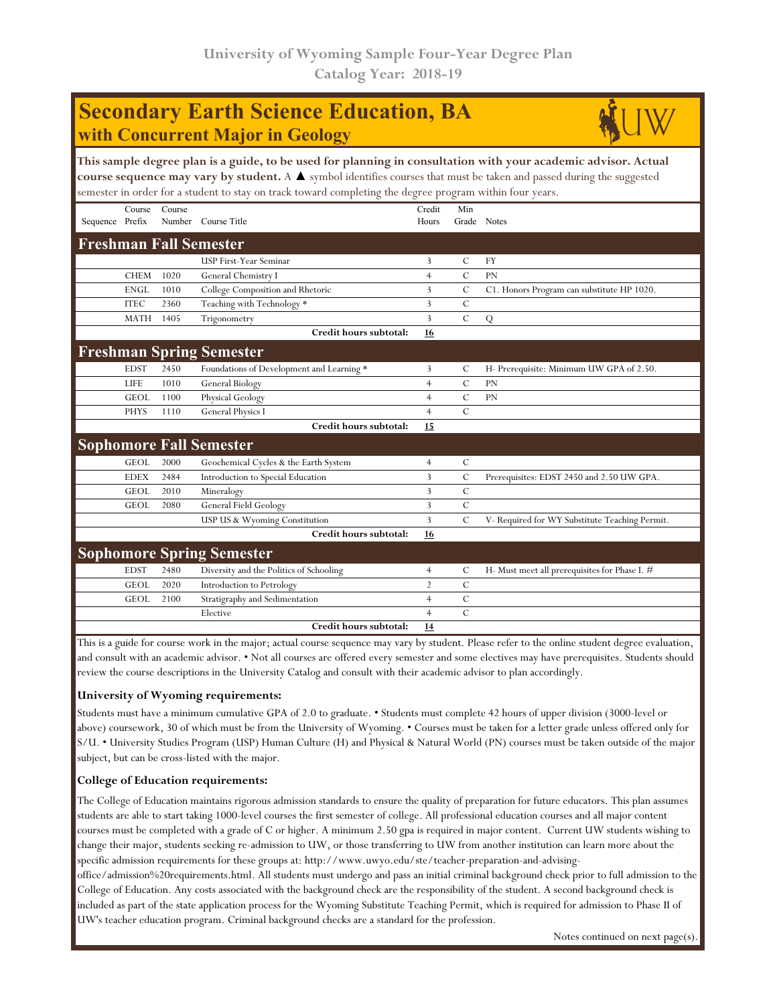# **Secondary Earth Science Education, BA with Concurrent Major in Geology**



|                                  |             |        | encerce in order for a exadent to easy on their to make complexing the degree program million four f |                |               |                                                |  |  |  |
|----------------------------------|-------------|--------|------------------------------------------------------------------------------------------------------|----------------|---------------|------------------------------------------------|--|--|--|
|                                  | Course      | Course |                                                                                                      | Credit         | Min           |                                                |  |  |  |
| Sequence Prefix                  |             | Number | Course Title                                                                                         | Hours          | Grade Notes   |                                                |  |  |  |
| <b>Freshman Fall Semester</b>    |             |        |                                                                                                      |                |               |                                                |  |  |  |
|                                  |             |        | <b>USP First-Year Seminar</b>                                                                        | 3              | $\mathcal{C}$ | <b>FY</b>                                      |  |  |  |
|                                  | <b>CHEM</b> | 1020   | General Chemistry I                                                                                  | 4              | $\mathcal{C}$ | <b>PN</b>                                      |  |  |  |
|                                  | <b>ENGL</b> | 1010   | College Composition and Rhetoric                                                                     | 3              | $\mathbf C$   | C1. Honors Program can substitute HP 1020.     |  |  |  |
|                                  | <b>ITEC</b> | 2360   | Teaching with Technology *                                                                           | 3              | $\mathbf C$   |                                                |  |  |  |
|                                  | <b>MATH</b> | 1405   | Trigonometry                                                                                         | 3              | $\mathcal{C}$ | Q                                              |  |  |  |
|                                  |             |        | Credit hours subtotal:                                                                               | 16             |               |                                                |  |  |  |
| <b>Freshman Spring Semester</b>  |             |        |                                                                                                      |                |               |                                                |  |  |  |
|                                  | <b>EDST</b> | 2450   | Foundations of Development and Learning *                                                            | 3              | C             | H- Prerequisite: Minimum UW GPA of 2.50.       |  |  |  |
|                                  | <b>LIFE</b> | 1010   | General Biology                                                                                      | $\overline{4}$ | $\mathbf C$   | <b>PN</b>                                      |  |  |  |
|                                  | <b>GEOL</b> | 1100   | Physical Geology                                                                                     | $\overline{4}$ | $\mathbf C$   | <b>PN</b>                                      |  |  |  |
|                                  | <b>PHYS</b> | 1110   | <b>General Physics I</b>                                                                             | $\overline{4}$ | $\mathcal C$  |                                                |  |  |  |
|                                  |             |        | Credit hours subtotal:                                                                               | 15             |               |                                                |  |  |  |
| <b>Sophomore Fall Semester</b>   |             |        |                                                                                                      |                |               |                                                |  |  |  |
|                                  | <b>GEOL</b> | 2000   | Geochemical Cycles & the Earth System                                                                | 4              | $\mathcal{C}$ |                                                |  |  |  |
|                                  | <b>EDEX</b> | 2484   | Introduction to Special Education                                                                    | 3              | $\mathbf C$   | Prerequisites: EDST 2450 and 2.50 UW GPA.      |  |  |  |
|                                  | <b>GEOL</b> | 2010   | Mineralogy                                                                                           | 3              | $\mathbf C$   |                                                |  |  |  |
|                                  | <b>GEOL</b> | 2080   | General Field Geology                                                                                | 3              | $\mathcal{C}$ |                                                |  |  |  |
|                                  |             |        | USP US & Wyoming Constitution                                                                        | 3              | $\mathcal{C}$ | V- Required for WY Substitute Teaching Permit. |  |  |  |
|                                  |             |        | Credit hours subtotal:                                                                               | 16             |               |                                                |  |  |  |
| <b>Sophomore Spring Semester</b> |             |        |                                                                                                      |                |               |                                                |  |  |  |
|                                  | <b>EDST</b> | 2480   | Diversity and the Politics of Schooling                                                              | $\overline{4}$ | C             | H- Must meet all prerequisites for Phase I. #  |  |  |  |
|                                  | <b>GEOL</b> | 2020   | Introduction to Petrology                                                                            | $\overline{2}$ | $\mathcal C$  |                                                |  |  |  |
|                                  | <b>GEOL</b> | 2100   | Stratigraphy and Sedimentation                                                                       | $\overline{4}$ | $\mathbf C$   |                                                |  |  |  |
|                                  |             |        | Elective                                                                                             | 4              | $\mathbf C$   |                                                |  |  |  |
|                                  |             |        | Credit hours subtotal:                                                                               | 14             |               |                                                |  |  |  |

This is a guide for course work in the major; actual course sequence may vary by student. Please refer to the online student degree evaluation, and consult with an academic advisor. • Not all courses are offered every semester and some electives may have prerequisites. Students should review the course descriptions in the University Catalog and consult with their academic advisor to plan accordingly.

## **University of Wyoming requirements:**

Students must have a minimum cumulative GPA of 2.0 to graduate. • Students must complete 42 hours of upper division (3000-level or above) coursework, 30 of which must be from the University of Wyoming. • Courses must be taken for a letter grade unless offered only for S/U. • University Studies Program (USP) Human Culture (H) and Physical & Natural World (PN) courses must be taken outside of the major subject, but can be cross-listed with the major.

## **College of Education requirements:**

The College of Education maintains rigorous admission standards to ensure the quality of preparation for future educators. This plan assumes students are able to start taking 1000-level courses the first semester of college. All professional education courses and all major content courses must be completed with a grade of C or higher. A minimum 2.50 gpa is required in major content. Current UW students wishing to change their major, students seeking re-admission to UW, or those transferring to UW from another institution can learn more about the specific admission requirements for these groups at: http://www.uwyo.edu/ste/teacher-preparation-and-advising-

office/admission%20requirements.html. All students must undergo and pass an initial criminal background check prior to full admission to the College of Education. Any costs associated with the background check are the responsibility of the student. A second background check is included as part of the state application process for the Wyoming Substitute Teaching Permit, which is required for admission to Phase II of UW's teacher education program. Criminal background checks are a standard for the profession.

Notes continued on next page(s).